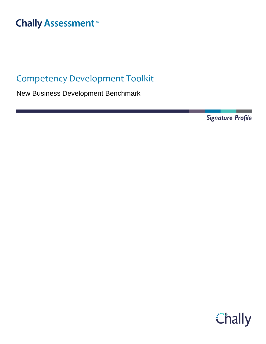# **Chally Assessment**<sup>™</sup>

## Competency Development Toolkit

New Business Development Benchmark

**Signature Profile** 

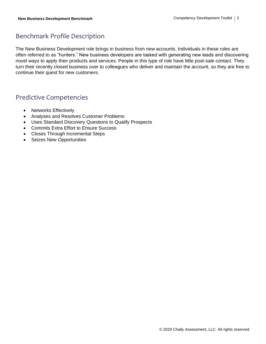### Benchmark Profile Description

The New Business Development role brings in business from new accounts. Individuals in these roles are often referred to as "hunters." New business developers are tasked with generating new leads and discovering novel ways to apply their products and services. People in this type of role have little post-sale contact. They turn their recently closed business over to colleagues who deliver and maintain the account, so they are free to continue their quest for new customers.

### Predictive Competencies

- Networks Effectively
- Analyses and Resolves Customer Problems
- Uses Standard Discovery Questions to Qualify Prospects
- Commits Extra Effort to Ensure Success
- Closes Through Incremental Steps
- Seizes New Opportunities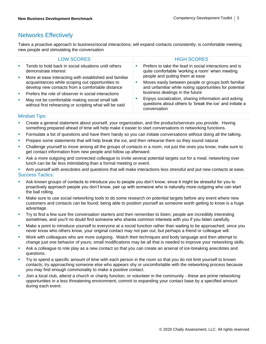### Networks Effectively

Takes a proactive approach to business/social interactions; will expand contacts consistently; is comfortable meeting new people and stimulating the conversation

|                   | <b>LOW SCORES</b>                                                                                                                                                                                                     |   | <b>HIGH SCORES</b>                                                                                                                                                                   |
|-------------------|-----------------------------------------------------------------------------------------------------------------------------------------------------------------------------------------------------------------------|---|--------------------------------------------------------------------------------------------------------------------------------------------------------------------------------------|
| <b>III</b>        | Tends to hold back in social situations until others<br>demonstrate interest                                                                                                                                          | ш | Prefers to take the lead in social interactions and is<br>quite comfortable 'working a room' when meeting                                                                            |
| ш<br>$\mathbf{m}$ | More at ease interacting with established and familiar<br>acquaintances while scoping out opportunities to<br>develop new contacts from a comfortable distance<br>Prefers the role of observer in social interactions | ш | people and putting them at ease<br>Moves easily between people or groups both familiar<br>and unfamiliar while noting opportunities for potential<br>business dealings in the future |
| ш                 | May not be comfortable making social small talk<br>without first rehearsing or scripting what will be said                                                                                                            |   | Enjoys socialization, sharing information and asking<br>questions about others to 'break the ice' and initiate a<br>conversation                                                     |

#### Mindset Tips:

Create a general statement about yourself, your organization, and the products/services you provide. Having something prepared ahead of time will help make it easier to start conversations in networking functions.

- Formulate a list of questions and have them handy so you can initiate conversations without doing all the talking.
- Prepare some statements that will help break the ice, and then rehearse them so they sound natural.
- Challenge yourself to move among all the groups of contacts in a room, not just the ones you know; make sure to get contact information from new people and follow up afterward.
- Ask a more outgoing and connected colleague to invite several potential targets out for a meal; networking over lunch can be far less intimidating than a formal meeting or event.
- Arm yourself with anecdotes and questions that will make interactions less stressful and put new contacts at ease. Success Tactics:
- Ask known groups of contacts to introduce you to people you don't know; since it might be stressful for you to proactively approach people you don't know, pair up with someone who is naturally more outgoing who can start the ball rolling.
- Make sure to use social networking tools to do some research on potential targets before any event where new customers and contacts can be found; being able to position yourself as someone worth getting to know is a huge advantage.
- Try to find a few sure fire conversation starters and then remember to listen; people are incredibly interesting sometimes, and you'll no doubt find someone who shares common interests with you if you listen carefully.
- Make a point to introduce yourself to everyone at a social function rather than waiting to be approached; since you never know who others know, your original contact may not pan out, but perhaps a friend or colleague will.
- Work with colleagues who are more outgoing. Watch their techniques and body language and then attempt to change just one behavior of yours; small modifications may be all that is needed to improve your networking skills.
- Ask a colleague to role play as a new contact so that you can create an arsenal of ice-breaking anecdotes and questions.
- Try to spend a specific amount of time with each person in the room so that you do not limit yourself to known contacts; try approaching someone else who appears shy or uncomfortable with the networking process because you may find enough commonality to make a positive contact.
- Join a local club, attend a church or charity function, or volunteer in the community these are prime networking opportunities in a less threatening environment; commit to expanding your contact base by a specified amount during each event.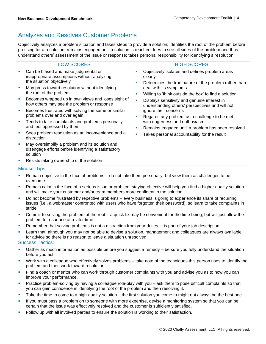### Analyzes and Resolves Customer Problems

Objectively analyzes a problem situation and takes steps to provide a solution; identifies the root of the problem before pressing for a resolution; remains engaged until a solution is reached; tries to see all sides of the problem and thus understand others' assessment of the issue or response; takes personal responsibility for identifying a resolution

| <b>LOW SCORES</b>                                                                                                       | <b>HIGH SCORES</b>                                                                                                           |  |  |  |
|-------------------------------------------------------------------------------------------------------------------------|------------------------------------------------------------------------------------------------------------------------------|--|--|--|
| Can be biased and make judgmental or<br>ш<br>inappropriate assumptions without analyzing<br>the situation objectively   | Objectively isolates and defines problem areas<br>×<br>clearly<br>Determines the true nature of the problem rather than<br>п |  |  |  |
| May press toward resolution without identifying<br>×<br>the root of the problem                                         | deal with its symptoms<br>Willing to 'think outside the box' to find a solution<br>×                                         |  |  |  |
| Becomes wrapped up in own views and loses sight of<br>how others may see the problem or response                        | Displays sensitivity and genuine interest in<br>п<br>understanding others' perspectives and will not                         |  |  |  |
| Becomes frustrated with solving the same or similar<br>×<br>problems over and over again                                | ignore their concerns<br>Regards any problem as a challenge to be met<br>×                                                   |  |  |  |
| Tends to take complaints and problems personally<br>×<br>and feel oppressed by them                                     | with eagerness and enthusiasm<br>Remains engaged until a problem has been resolved<br>ш                                      |  |  |  |
| Sees problem resolution as an inconvenience and a<br>×<br>distraction                                                   | Takes personal accountability for the result<br>п                                                                            |  |  |  |
| May oversimplify a problem and its solution and<br>×<br>disengage efforts before identifying a satisfactory<br>solution |                                                                                                                              |  |  |  |
| Resists taking ownership of the solution                                                                                |                                                                                                                              |  |  |  |
| <b>Mindset Tips:</b>                                                                                                    |                                                                                                                              |  |  |  |

- Remain objective in the face of problems do not take them personally, but view them as challenges to be overcome.
- Remain calm in the face of a serious issue or problem; staying objective will help you find a higher quality solution and will make your customer and/or team members more confident in the solution.
- Do not become frustrated by repetitive problems every business is going to experience its share of recurring issues (i.e., a webmaster confronted with users who have forgotten their password), so learn to take complaints in stride.
- Commit to solving the problem at the root a quick fix may be convenient for the time being, but will just allow the problem to resurface at a later time.
- Remember that solving problems is not a distraction from your duties, it is part of your job description.
- Learn that, although you may not be able to devise a solution, management and colleagues are always available for advice so there is no reason to leave a situation unresolved.

- Gather as much information as possible before you suggest a remedy  $-$  be sure you fully understand the situation before you act.
- Work with a colleague who effectively solves problems take note of the techniques this person uses to identify the problem and then work toward resolution.
- Find a coach or mentor who can work through customer complaints with you and advise you as to how you can improve your performance.
- Practice problem-solving by having a colleague role-play with you ask them to pose difficult complaints so that you can gain confidence in identifying the root of the problem and then resolving it.
- Take the time to come to a high-quality solution the first solution you come to might not always be the best one.
- **.** If you must pass a problem on to someone with more expertise, devise a monitoring system so that you can be certain that the issue was effectively resolved and the customer is sufficiently satisfied.
- **•** Follow up with all involved parties to ensure the solution is working to their satisfaction.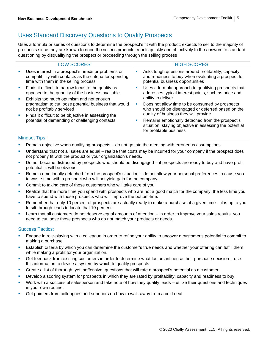### Uses Standard Discovery Questions to Qualify Prospects

Uses a formula or series of questions to determine the prospect's fit with the product; expects to sell to the majority of prospects since they are known to need the seller's products; reacts quickly and objectively to the answers to standard questioning by disqualifying the prospect or proceeding through the selling process

| <b>HIGH SCORES</b>                                                                                                                                                              |
|---------------------------------------------------------------------------------------------------------------------------------------------------------------------------------|
| Asks tough questions around profitability, capacity,<br>and readiness to buy when evaluating a prospect for<br>potential business opportunities                                 |
| Uses a formula approach to qualifying prospects that<br>addresses typical interest points, such as price and<br>ability to deliver                                              |
| Does not allow time to be consumed by prospects<br>who should be disengaged or deferred based on the                                                                            |
| quality of business they will provide<br>Remains emotionally detached from the prospect's<br>situation, staying objective in assessing the potential<br>for profitable business |
|                                                                                                                                                                                 |

#### Mindset Tips:

- **EXECT** Remain objective when qualifying prospects do not go into the meeting with erroneous assumptions.
- Understand that not all sales are equal realize that costs may be incurred for your company if the prospect does not properly fit with the product or your organization's needs.
- Do not become distracted by prospects who should be disengaged if prospects are ready to buy and have profit potential, it will be obvious.
- Remain emotionally detached from the prospect's situation do not allow your personal preferences to cause you to waste time with a prospect who will not yield gain for the company.
- Commit to taking care of those customers who will take care of you.
- **EXECT** Realize that the more time you spend with prospects who are not a good match for the company, the less time you have to spend with those prospects who will improve the bottom-line.
- **EXECT** Remember that only 10 percent of prospects are actually ready to make a purchase at a given time  $-$  it is up to you to sift through leads to locate that 10 percent.
- Learn that all customers do not deserve equal amounts of attention in order to improve your sales results, you need to cut loose those prospects who do not match your products or needs.

- Engage in role-playing with a colleague in order to refine your ability to uncover a customer's potential to commit to making a purchase.
- **E** Establish criteria by which you can determine the customer's true needs and whether your offering can fulfill them while making a profit for your organization.
- Get feedback from existing customers in order to determine what factors influence their purchase decision use this information to devise a system by which to qualify prospects.
- Create a list of thorough, yet inoffensive, questions that will rate a prospect's potential as a customer.
- Develop a scoring system for prospects in which they are rated by profitability, capacity and readiness to buy.
- Work with a successful salesperson and take note of how they qualify leads utilize their questions and techniques in your own routine.
- **•** Get pointers from colleagues and superiors on how to walk away from a cold deal.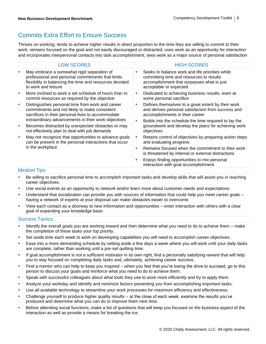### Commits Extra Effort to Ensure Success

Thrives on working; tends to achieve higher results in direct proportion to the time they are willing to commit to their work; remains focused on the goal and not easily discouraged or distracted; uses work as an opportunity for interaction and incorporates interpersonal contacts into task accomplishment; sees work as a major source of personal satisfaction

|                      | <b>LOW SCORES</b>                                                                                                                                                                                             |          | <b>HIGH SCORES</b>                                                                                                                                                                                   |  |
|----------------------|---------------------------------------------------------------------------------------------------------------------------------------------------------------------------------------------------------------|----------|------------------------------------------------------------------------------------------------------------------------------------------------------------------------------------------------------|--|
|                      | May embrace a somewhat rigid separation of<br>professional and personal commitments that limits<br>flexibility in balancing the time and resources devoted<br>to work and leisure                             | ш        | Seeks to balance work and life priorities while<br>committing time and resources to results<br>accomplishment that surpasses what is just<br>acceptable or expected                                  |  |
| ×                    | More inclined to work a set schedule of hours than to<br>commit resources as required by the objective                                                                                                        | ш        | Dedicated to achieving business results, even at<br>some personal sacrifice                                                                                                                          |  |
| ×                    | Distinguishes personal time from work and career<br>commitments and not likely to make consistent<br>sacrifices in their personal lives to accommodate<br>extraordinary advancements in their work objectives | ш<br>ш   | Defines themselves to a great extent by their work<br>and derives personal satisfaction from success and<br>accomplishments in their career<br>Builds into the schedule the time required to lay the |  |
| ×                    | Becomes distracted by unexpected obstacles or may<br>not effectively plan to deal with job demands                                                                                                            |          | groundwork and develop the plans for achieving work<br>objectives                                                                                                                                    |  |
|                      | May not recognize that opportunities to advance goals<br>can be present in the personal interactions that occur<br>in the workplace                                                                           | ш        | Retains control of objectives by preparing action steps<br>and evaluating progress                                                                                                                   |  |
|                      |                                                                                                                                                                                                               | ш        | Remains focused when the commitment to their work<br>is threatened by internal or external distractions                                                                                              |  |
|                      |                                                                                                                                                                                                               | <b>I</b> | Enjoys finding opportunities to mix personal<br>interaction with goal accomplishment                                                                                                                 |  |
| <b>Mindset Tips:</b> |                                                                                                                                                                                                               |          |                                                                                                                                                                                                      |  |
|                      |                                                                                                                                                                                                               |          |                                                                                                                                                                                                      |  |

- Be willing to sacrifice personal time to accomplish important tasks and develop skills that will assist you in reaching career objectives.
- Use social events as an opportunity to network and/or learn more about customer needs and expectations.
- Understand that socialization can provide you with sources of information that could help you meet career goals having a network of experts at your disposal can make obstacles easier to overcome.
- View each contact as a doorway to new information and opportunities enter interaction with others with a clear goal of expanding your knowledge base.

- Identify the overall goals you are working toward and then determine what you need to do to achieve them make the completion of these tasks your top priority.
- Set aside time each week to work on developing capabilities you will need to accomplish career objectives.
- Ease into a more demanding schedule by setting aside a few days a week where you will work until your daily tasks are complete, rather than working until a pre-set quitting time.
- **•** If goal accomplishment is not a sufficient motivator in its own right, find a personally satisfying reward that will help you to stay focused on completing daily tasks and, ultimately, achieving career success.
- Find a mentor who can help to keep you inspired when you feel that you're losing the drive to succeed, go to this person to discuss your goals and reinforce what you need to do to achieve them.
- **•** Speak with successful colleagues about what tools they use to work more efficiently and try to apply them.
- **•** Analyze your workday and identify and minimize factors preventing you from accomplishing important tasks.
- **■** Use all available technology to streamline your work processes for maximum efficiency and effectiveness.
- Challenge yourself to produce higher quality results at the close of each week, examine the results you've produced and determine what you can do to improve them next time.
- Before attending social functions, make a list of questions that will keep you focused on the business aspect of the interaction as well as provide a means for breaking the ice.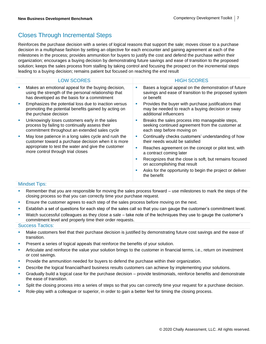### Closes Through Incremental Steps

Reinforces the purchase decision with a series of logical reasons that support the sale; moves closer to a purchase decision in a multiphase fashion by setting an objective for each encounter and gaining agreement at each of the milestones in the process; provides ammunition for buyers to justify the cost and defend the purchase within their organization; encourages a buying decision by demonstrating future savings and ease of transition to the proposed solution; keeps the sales process from stalling by taking control and focusing the prospect on the incremental steps leading to a buying decision; remains patient but focused on reaching the end result

|    | <b>LOW SCORES</b>                                                                                                                                                                                       |   | <b>HIGH SCORES</b>                                                                                                                 |
|----|---------------------------------------------------------------------------------------------------------------------------------------------------------------------------------------------------------|---|------------------------------------------------------------------------------------------------------------------------------------|
| I. | Makes an emotional appeal for the buying decision,<br>using the strength of the personal relationship that<br>has developed as the basis for a commitment                                               | ш | Bases a logical appeal on the demonstration of future<br>savings and ease of transition to the proposed system<br>or benefit       |
| ×  | Emphasizes the potential loss due to inaction versus<br>promoting the potential benefits gained by acting on<br>the purchase decision                                                                   | ш | Provides the buyer with purchase justifications that<br>may be needed to reach a buying decision or sway<br>additional influencers |
| U, | Unknowingly loses customers early in the sales<br>process by failing to continually assess their<br>commitment throughout an extended sales cycle                                                       |   | Breaks the sales process into manageable steps,<br>seeking continued agreement from the customer at<br>each step before moving on  |
| I. | May lose patience in a long sales cycle and rush the<br>customer toward a purchase decision when it is more<br>appropriate to test the water and give the customer<br>more control through trial closes | ш | Continually checks customers' understanding of how<br>their needs would be satisfied                                               |
|    |                                                                                                                                                                                                         | ш | Reaches agreement on the concept or pilot test, with<br>a contract coming later                                                    |
|    |                                                                                                                                                                                                         | ш | Recognizes that the close is soft, but remains focused<br>on accomplishing that result                                             |
|    |                                                                                                                                                                                                         | ш | Asks for the opportunity to begin the project or deliver<br>the benefit                                                            |
|    |                                                                                                                                                                                                         |   |                                                                                                                                    |

#### Mindset Tips:

- **EXECT** Remember that you are responsible for moving the sales process forward use milestones to mark the steps of the closing process so that you can correctly time your purchase request.
- **E** Ensure the customer agrees to each step of the sales process before moving on the next.
- **E** Establish a set of questions for each step of the sales call so that you can gauge the customer's commitment level.
- Watch successful colleagues as they close a sale take note of the techniques they use to gauge the customer's commitment level and properly time their order requests.

- **■** Make customers feel that their purchase decision is justified by demonstrating future cost savings and the ease of transition.
- **Present a series of logical appeals that reinforce the benefits of your solution.**
- Articulate and reinforce the value your solution brings to the customer in financial terms, i.e., return on investment or cost savings.
- Provide the ammunition needed for buyers to defend the purchase within their organization.
- Describe the logical financial/hard business results customers can achieve by implementing your solutions.
- Gradually build a logical case for the purchase decision provide testimonials, reinforce benefits and demonstrate the ease of transition.
- **•** Split the closing process into a series of steps so that you can correctly time your request for a purchase decision.
- Role-play with a colleague or superior, in order to gain a better feel for timing the closing process.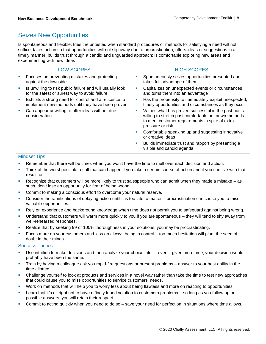### Seizes New Opportunities

Is spontaneous and flexible; tries the untested when standard procedures or methods for satisfying a need will not suffice; takes action so that opportunities will not slip away due to procrastination; offers ideas or suggestions in a timely manner; builds trust through a candid and unguarded approach; is comfortable exploring new areas and experimenting with new ideas

| <b>HIGH SCORES</b>                                                                                                                                                                       |
|------------------------------------------------------------------------------------------------------------------------------------------------------------------------------------------|
| Spontaneously seizes opportunities presented and<br>a.<br>takes full advantage of them                                                                                                   |
| Capitalizes on unexpected events or circumstances<br>a.<br>and turns them into an advantage                                                                                              |
| Has the propensity to immediately exploit unexpected,<br>ш<br>timely opportunities and circumstances as they occur                                                                       |
| Values what has proven successful in the past but is<br>ш<br>willing to stretch past comfortable or known methods<br>to meet customer requirements in spite of extra<br>pressure or risk |
| Comfortable speaking up and suggesting innovative<br>ш<br>or creative ideas                                                                                                              |
| Builds immediate trust and rapport by presenting a<br>ш<br>visible and candid agenda                                                                                                     |
|                                                                                                                                                                                          |

#### Mindset Tips:

- **EXECT** Remember that there will be times when you won't have the time to mull over each decision and action.
- Think of the worst possible result that can happen if you take a certain course of action and if you can live with that result, act.
- Recognize that customers will be more likely to trust salespeople who can admit when they made a mistake as such, don't lose an opportunity for fear of being wrong.
- Commit to making a conscious effort to overcome your natural reserve.
- Consider the ramifications of delaying action until it is too late to matter procrastination can cause you to miss valuable opportunities.
- Rely on experience and background knowledge when time does not permit you to safeguard against being wrong.
- **•** Understand that customers will warm more quickly to you if you are spontaneous they will tend to shy away from well-rehearsed responses.
- **EXECT** Realize that by seeking 99 or 100% thoroughness in your solutions, you may be procrastinating.
- Focus more on your customers and less on always being in control too much hesitation will plant the seed of doubt in their minds.

- Use intuition to make decisions and then analyze your choice later even if given more time, your decision would probably have been the same.
- Train by having a colleague ask you rapid-fire questions or present problems answer to your best ability in the time allotted.
- Challenge yourself to look at products and services in a novel way rather than take the time to test new approaches that could cause you to miss opportunities to service customers' needs.
- Work on methods that will help you to worry less about being flawless and more on reacting to opportunities.
- Learn that it's all right not to have a finely tuned solution to customers problems so long as you follow up on possible answers, you will retain their respect.
- Commit to acting quickly when you need to do so save your need for perfection in situations where time allows.